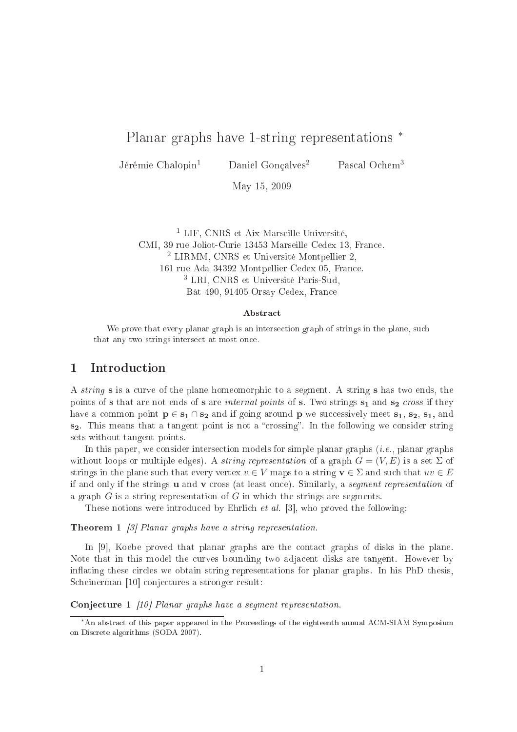# Planar graphs have 1-string representations ∗

Jérémie Chalopin<sup>1</sup> Daniel Gonçalves<sup>2</sup> Pascal Ochem<sup>3</sup>

May 15, <sup>2009</sup>

<sup>1</sup> LIF, CNRS et Aix-Marseille Université, CMI, 39 rue Joliot-Curie 13453 Marseille Cedex 13, Fran
e. <sup>2</sup> LIRMM, CNRS et Université Montpellier 2, 161 rue Ada 34392 Montpellier Cedex 05, Fran
e. <sup>3</sup> LRI, CNRS et Université Paris-Sud, Bât 490, 91405 Orsay Cedex, Fran
e

### **Abstract**

we prove that the plane of strings in the strings intersection graphs in the plane, planet, such a that any two strings intersection intersection and

### 1**Introduction**

A *string* **s** is a curve of the plane homeomorphic to a segment. A string **s** has two ends, the points of s that are not ends of s are *internal points* of s. Two strings  $s_1$  and  $s_2$  cross if they have a common point  $p \in s_1 \cap s_2$  and if going around p we successively meet  $s_1, s_2, s_1$ , and  $s<sub>2</sub>$ . This means that a tangent point is not a "crossing". In the following we consider string sets without tangent points.

In this paper, we consider intersection models for simple planar graphs (*i.e.*, planar graphs without loops or multiple edges). A *string representation* of a graph  $G = (V, E)$  is a set  $\Sigma$  of strings in the plane such that every vertex  $v \in V$  maps to a string  $v \in \Sigma$  and such that  $uv \in E$ if and only if the strings  $\bf{u}$  and  $\bf{v}$  cross (at least once). Similarly, a *seqment representation* of a graph  $G$  is a string representation of  $G$  in which the strings are segments.

These notions were introduced by Ehrlich  $et al. [3]$ , who proved the following:

**Theorem 1** [3] Planar graphs have a string representation.

In  $[9]$ , Koebe proved that planar graphs are the contact graphs of disks in the plane. Note that in this model the curves bounding two adjacent disks are tangent. However by inflating these circles we obtain string representations for planar graphs. In his PhD thesis, Scheinerman [10] conjectures a stronger result:

Conjecture 1 [10] Planar graphs have a segment representation.

<sup>∗</sup>An abstra
t of this paper appeared in the Pro
eedings of the eighteenth annual ACM-SIAM Symposium on Dis
rete algorithms (SODA 2007).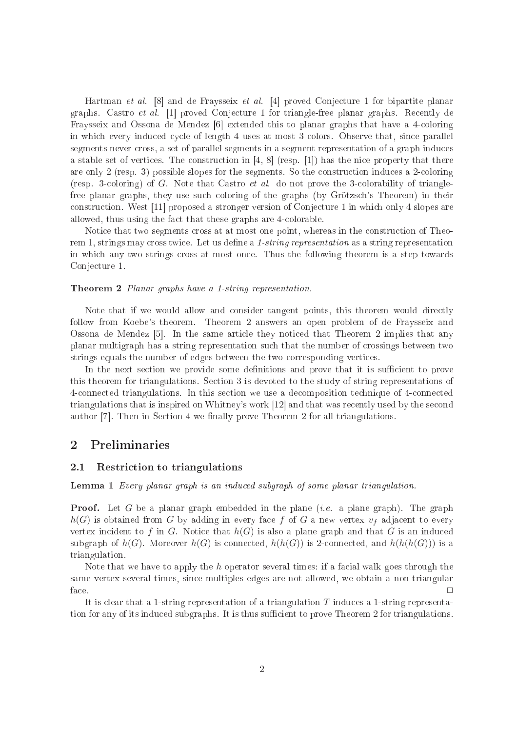Hartman et al. [8] and de Fraysseix et al. [4] proved Conjecture 1 for bipartite planar graphs. Castro *et al.* [1] proved Conjecture 1 for triangle-free planar graphs. Recently de Fraysseix and Ossona de Mendez  $[6]$  extended this to planar graphs that have a 4-coloring in which every induced cycle of length 4 uses at most 3 colors. Observe that, since parallel segments never cross, a set of parallel segments in a segment representation of a graph induces a stable set of vertices. The construction in  $[4, 8]$  (resp. [1]) has the nice property that there are only 2 (resp. 3) possible slopes for the segments. So the construction induces a 2-coloring (resp. 3oloring) of G. Note that Castro et al. do not prove the 3olorability of trianglefree planar graphs, they use su
h oloring of the graphs (by Grötzs
h's Theorem) in their construction. West [11] proposed a stronger version of Conjecture 1 in which only 4 slopes are allowed, thus using the fact that these graphs are 4-colorable.

Notice that two segments cross at at most one point, whereas in the construction of Theorem 1, strings may cross twice. Let us define a 1-string representation as a string representation in which any two strings cross at most once. Thus the following theorem is a step towards Conjecture 1.

### Theorem 2 Planar graphs have a 1-string representation.

Note that if we would allow and consider tangent points, this theorem would directly follow from Koebe's theorem. Theorem 2 answers an open problem of de Fraysseix and Ossona de Mendez  $[5]$ . In the same article they noticed that Theorem 2 implies that any planar multigraph has a string representation su
h that the number of rossings between two strings equals the number of edges between the two orresponding verti
es.

In the next section we provide some definitions and prove that it is sufficient to prove this theorem for triangulations. Se
tion 3 is devoted to the study of string representations of 4onne
ted triangulations. In this se
tion we use a de
omposition te
hnique of 4onne
ted triangulations that is inspired on Whitney's work [12] and that was recently used by the second author  $[7]$ . Then in Section 4 we finally prove Theorem 2 for all triangulations.

#### $\overline{2}$ Preliminaries

#### 2.1Restri
tion to triangulations

### Lemma 1 Every planar graph is an induced subgraph of some planar triangulation.

**Proof.** Let G be a planar graph embedded in the plane  $(i.e.$  a plane graph). The graph  $h(G)$  is obtained from G by adding in every face f of G a new vertex  $v_f$  adjacent to every vertex incident to f in G. Notice that  $h(G)$  is also a plane graph and that G is an induced subgraph of  $h(G)$ . Moreover  $h(G)$  is connected,  $h(h(G))$  is 2-connected, and  $h(h(h(G)))$  is a triangulation.

Note that we have to apply the h operator several times: if a facial walk goes through the same vertex several times, sin
e multiples edges are not allowed, we obtain a non-triangular face.  $\Box$ 

It is clear that a 1-string representation of a triangulation  $T$  induces a 1-string representation for any of its induced subgraphs. It is thus sufficient to prove Theorem 2 for triangulations.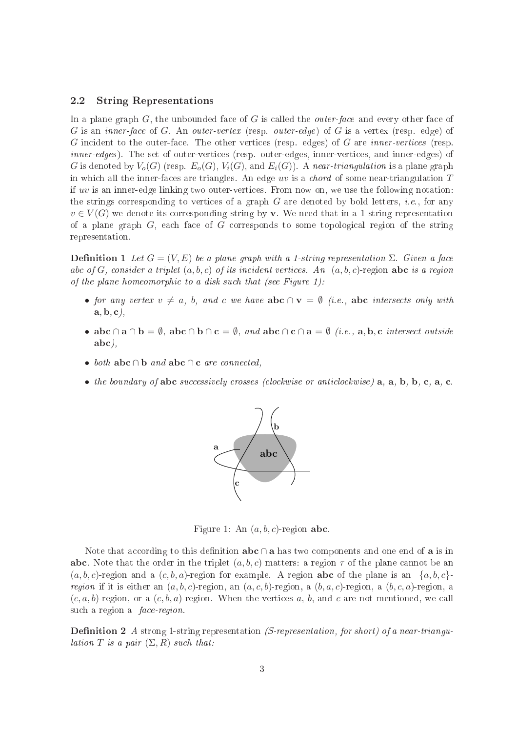#### 2.2String Representations

In a plane graph  $G$ , the unbounded face of  $G$  is called the *outer-face* and every other face of G is an *inner-face* of G. An *outer-vertex* (resp. *outer-edge*) of G is a vertex (resp. edge) of G incident to the outer-face. The other vertices (resp. edges) of G are *inner-vertices* (resp. inner-edges). The set of outer-vertices (resp. outer-edges, inner-vertices, and inner-edges) of G is denoted by  $V_o(G)$  (resp.  $E_o(G)$ ,  $V_i(G)$ , and  $E_i(G)$ ). A near-triangulation is a plane graph in which all the inner-faces are triangles. An edge uv is a *chord* of some near-triangulation  $T$ if uv is an inner-edge linking two outer-verti
es. From now on, we use the following notation: the strings corresponding to vertices of a graph  $G$  are denoted by bold letters, *i.e.*, for any  $v \in V(G)$  we denote its corresponding string by **v**. We need that in a 1-string representation of a plane graph  $G$ , each face of  $G$  corresponds to some topological region of the string representation.

**Definition 1** Let  $G = (V, E)$  be a plane graph with a 1-string representation  $\Sigma$ . Given a face abc of G, consider a triplet  $(a, b, c)$  of its incident vertices. An  $(a, b, c)$ -region abc is a region of the plane homeomorphic to a disk such that (see Figure 1):

- for any vertex  $v \neq a$ , b, and c we have  $abc \cap v = \emptyset$  (i.e., abc intersects only with  $\mathbf{a}, \mathbf{b}, \mathbf{c}$ ,
- abc ∩ a ∩ b =  $\emptyset$ , abc ∩ b ∩ c =  $\emptyset$ , and abc ∩ c ∩ a =  $\emptyset$  (i.e., a, b, c intersect outside abc),
- both  $abc \cap b$  and  $abc \cap c$  are connected,
- the boundary of abc successively crosses (clockwise or anticlockwise)  $a, a, b, b, c, a, c$ .



Figure 1: An  $(a, b, c)$ -region abc.

Note that according to this definition  $abc \cap a$  has two components and one end of a is in abc. Note that the order in the triplet  $(a, b, c)$  matters: a region  $\tau$  of the plane cannot be an  $(a, b, c)$ -region and a  $(c, b, a)$ -region for example. A region **abc** of the plane is an  $\{a, b, c\}$ region if it is either an  $(a, b, c)$ -region, an  $(a, c, b)$ -region, a  $(b, a, c)$ -region, a  $(b, c, a)$ -region, a  $(c, a, b)$ -region, or a  $(c, b, a)$ -region. When the vertices a, b, and c are not mentioned, we call such a region a *face-region*.

**Definition 2** A strong 1-string representation (S-representation, for short) of a near-triangulation T is a pair  $(\Sigma, R)$  such that: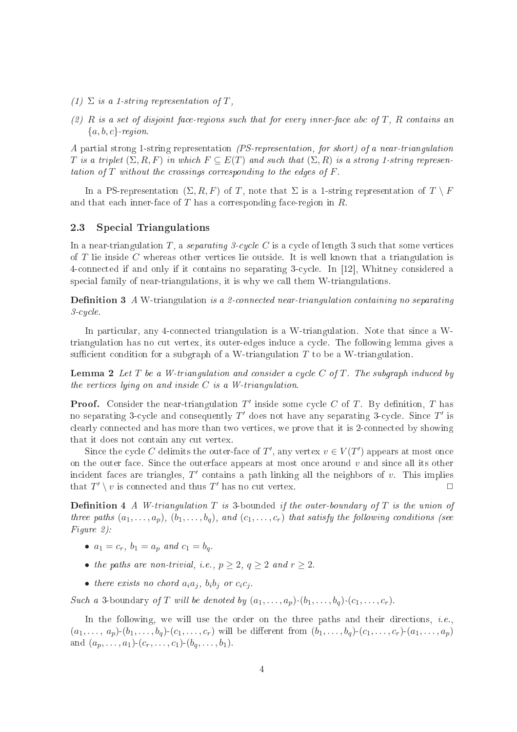- (1)  $\Sigma$  is a 1-string representation of T,
- $(2)$  R is a set of disjoint face-regions such that for every inner-face abc of T. R contains an  ${a, b, c}$ -region.

A partial strong 1-string representation (PS-representation, for short) of a near-triangulation T is a triplet  $(\Sigma, R, F)$  in which  $F \subseteq E(T)$  and such that  $(\Sigma, R)$  is a strong 1-string representation of  $T$  without the crossings corresponding to the edges of  $F$ .

In a PS-representation  $(\Sigma, R, F)$  of T, note that  $\Sigma$  is a 1-string representation of  $T \setminus F$ and that each inner-face of  $T$  has a corresponding face-region in  $R$ .

### 2.3 Special Triangulations

In a near-triangulation T, a separating 3-cycle C is a cycle of length 3 such that some vertices of T lie inside C whereas other verti
es lie outside. It is well known that a triangulation is 4-connected if and only if it contains no separating 3-cycle. In [12], Whitney considered a special family of near-triangulations, it is why we call them W-triangulations.

**Definition 3** A W-triangulation is a 2-connected near-triangulation containing no separating  $3$ -cucle.

In particular, any 4-connected triangulation is a W-triangulation. Note that since a Wtriangulation has no cut vertex, its outer-edges induce a cycle. The following lemma gives a sufficient condition for a subgraph of a W-triangulation  $T$  to be a W-triangulation.

**Lemma 2** Let  $T$  be a W-triangulation and consider a cycle  $C$  of  $T$ . The subgraph induced by the vertices lying on and inside  $C$  is a W-triangulation.

**Proof.** Consider the near-triangulation  $T'$  inside some cycle C of T. By definition, T has no separating 3-cycle and consequently  $T'$  does not have any separating 3-cycle. Since  $T'$  is clearly connected and has more than two vertices, we prove that it is 2-connected by showing that it does not contain any cut vertex.

Since the cycle C delimits the outer-face of T', any vertex  $v \in V(T')$  appears at most once on the outer face. Since the outerface appears at most once around  $v$  and since all its other incident faces are triangles,  $T'$  contains a path linking all the neighbors of v. This implies that  $T' \setminus v$  is connected and thus  $T'$  has no cut vertex.

**Definition 4** A W-triangulation  $T$  is 3-bounded if the outer-boundary of  $T$  is the union of three paths  $(a_1, \ldots, a_p)$ ,  $(b_1, \ldots, b_q)$ , and  $(c_1, \ldots, c_r)$  that satisfy the following conditions (see Figure 2):

- $a_1 = c_r$ ,  $b_1 = a_p$  and  $c_1 = b_q$
- the paths are non-trivial, i.e.,  $p \geq 2$ ,  $q \geq 2$  and  $r \geq 2$ .
- there exists no chord  $a_i a_j$ ,  $b_i b_j$  or  $c_i c_j$ .

Such a 3-boundary of T will be denoted by  $(a_1, \ldots, a_n)$ - $(b_1, \ldots, b_n)$ - $(c_1, \ldots, c_r)$ .

In the following, we will use the order on the three paths and their directions, *i.e.*,  $(a_1, \ldots, a_p)$ - $(b_1, \ldots, b_q)$ - $(c_1, \ldots, c_r)$  will be different from  $(b_1, \ldots, b_q)$ - $(c_1, \ldots, c_r)$ - $(a_1, \ldots, a_p)$ and  $(a_p, \ldots, a_1)$ - $(c_r, \ldots, c_1)$ - $(b_q, \ldots, b_1)$ .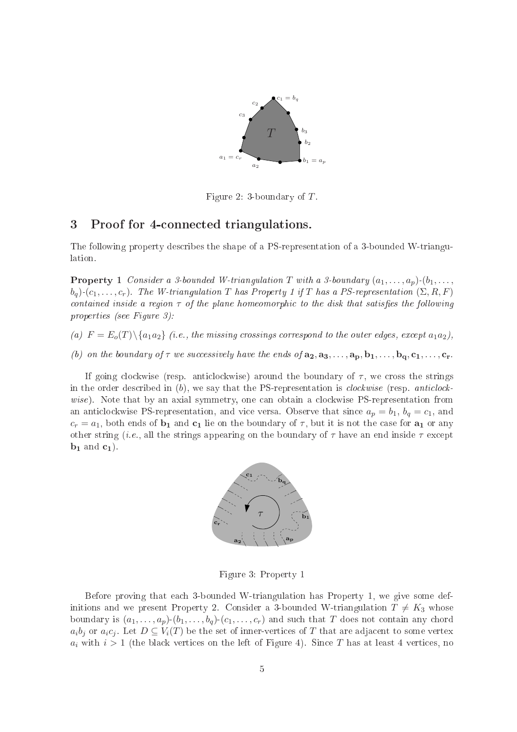

Figure 2: 3-boundary of  $T$ .

### 3Proof for 4onne
ted triangulations.

The following property describes the shape of a PS-representation of a 3-bounded W-triangulation.

**Property 1** Consider a 3-bounded W-triangulation T with a 3-boundary  $(a_1, \ldots, a_n)$ - $(b_1, \ldots, b_n)$  $b_q$ )-(c<sub>1</sub>,..., c<sub>r</sub>). The W-triangulation T has Property 1 if T has a PS-representation  $(\Sigma, R, F)$ contained inside a region  $\tau$  of the plane homeomorphic to the disk that satisfies the following properties (see Figure 3):

(a)  $F = E_o(T) \setminus \{a_1 a_2\}$  (i.e., the missing crossings correspond to the outer edges, except  $a_1 a_2$ ),

(b) on the boundary of  $\tau$  we successively have the ends of  $a_2, a_3, \ldots, a_p, b_1, \ldots, b_q, c_1, \ldots, c_r$ .

If going clockwise (resp. anticlockwise) around the boundary of  $\tau$ , we cross the strings in the order described in  $(b)$ , we say that the PS-representation is *clockwise* (resp. *anticlock*wise). Note that by an axial symmetry, one can obtain a clockwise PS-representation from an anticlockwise PS-representation, and vice versa. Observe that since  $a_p = b_1$ ,  $b_q = c_1$ , and  $c_r = a_1$ , both ends of  $b_1$  and  $c_1$  lie on the boundary of  $\tau$ , but it is not the case for  $a_1$  or any other string (*i.e.*, all the strings appearing on the boundary of  $\tau$  have an end inside  $\tau$  except  $\mathbf{b}_1$  and  $\mathbf{c}_1$ ).



Figure 3: Property 1

Before proving that ea
h 3-bounded W-triangulation has Property 1, we give some definitions and we present Property 2. Consider a 3-bounded W-triangulation  $T \neq K_3$  whose boundary is  $(a_1, \ldots, a_p)$ - $(b_1, \ldots, b_q)$ - $(c_1, \ldots, c_r)$  and such that T does not contain any chord  $a_i b_j$  or  $a_i c_j$ . Let  $D \subseteq V_i(T)$  be the set of inner-vertices of T that are adjacent to some vertex  $a_i$  with  $i > 1$  (the black vertices on the left of Figure 4). Since T has at least 4 vertices, no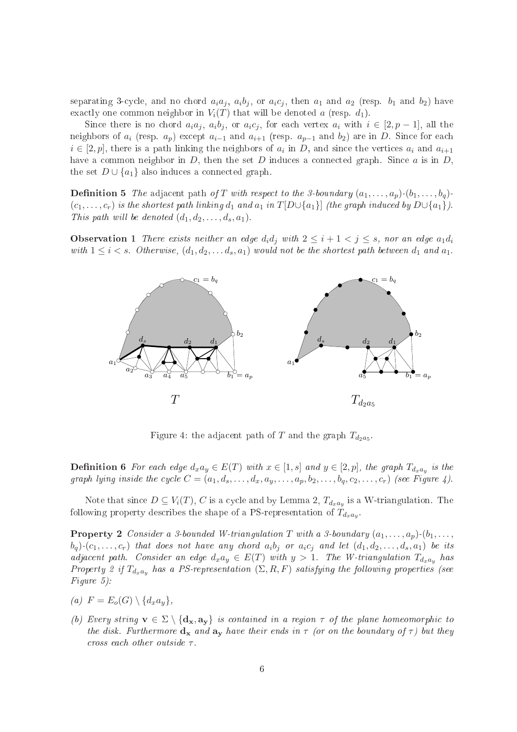separating 3-cycle, and no chord  $a_i a_j$ ,  $a_i b_j$ , or  $a_i c_j$ , then  $a_1$  and  $a_2$  (resp.  $b_1$  and  $b_2$ ) have exactly one common neighbor in  $V_i(T)$  that will be denoted a (resp.  $d_1$ ).

Since there is no chord  $a_i a_j$ ,  $a_i b_j$ , or  $a_i c_j$ , for each vertex  $a_i$  with  $i \in [2, p-1]$ , all the neighbors of  $a_i$  (resp.  $a_p$ ) except  $a_{i-1}$  and  $a_{i+1}$  (resp.  $a_{p-1}$  and  $b_2$ ) are in D. Since for each  $i \in [2, p]$ , there is a path linking the neighbors of  $a_i$  in D, and since the vertices  $a_i$  and  $a_{i+1}$ have a common neighbor in  $D$ , then the set  $D$  induces a connected graph. Since  $a$  is in  $D$ , the set  $D \cup \{a_1\}$  also induces a connected graph.

**Definition 5** The adjacent path of T with respect to the 3-boundary  $(a_1, \ldots, a_p)$ - $(b_1, \ldots, b_q)$ - $(c_1, \ldots, c_r)$  is the shortest path linking  $d_1$  and  $a_1$  in  $T[D\cup\{a_1\}]$  (the graph induced by  $D\cup\{a_1\}$ ). This path will be denoted  $(d_1, d_2, \ldots, d_s, a_1)$ .

**Observation 1** There exists neither an edge  $d_i d_j$  with  $2 \leq i+1 < j \leq s$ , nor an edge  $a_1 d_i$ with  $1 \leq i < s$ . Otherwise,  $(d_1, d_2, \ldots, d_s, a_1)$  would not be the shortest path between  $d_1$  and  $a_1$ .



Figure 4: the adjacent path of T and the graph  $T_{d_2a_5}$ .

**Definition 6** For each edge  $d_x a_y \in E(T)$  with  $x \in [1, s]$  and  $y \in [2, p]$ , the graph  $T_{d_x a_y}$  is the graph lying inside the cycle  $C = (a_1, d_s, \ldots, d_x, a_y, \ldots, a_p, b_2, \ldots, b_q, c_2, \ldots, c_r)$  (see Figure 4).

Note that since  $D \subseteq V_i(T),$   $C$  is a cycle and by Lemma 2,  $T_{d_x a_y}$  is a W-triangulation. The following property describes the shape of a PS-representation of  $T_{d_xa_y}$ .

**Property 2** Consider a 3-bounded W-triangulation T with a 3-boundary  $(a_1, \ldots, a_p)$ - $(b_1, \ldots, b_p)$  $(b_q)$ - $(c_1, \ldots, c_r)$  that does not have any chord  $a_i b_j$  or  $a_i c_j$  and let  $(d_1, d_2, \ldots, d_s, a_1)$  be its adjacent path. Consider an edge  $d_x a_y \in E(T)$  with  $y > 1$ . The W-triangulation  $T_{d_x a_y}$  has Property 2 if  $T_{d_xa_y}$  has a PS-representation  $(\Sigma, R, F)$  satisfying the following properties (see Figure 5):

$$
(a) \ \ F = E_o(G) \setminus \{d_x a_y\},
$$

(b) Every string  $\mathbf{v} \in \Sigma \setminus \{d_{\mathbf{x}}, a_{\mathbf{y}}\}$  is contained in a region  $\tau$  of the plane homeomorphic to the disk. Furthermore  $d_x$  and  $a_y$  have their ends in  $\tau$  (or on the boundary of  $\tau$ ) but they cross each other outside  $\tau$ .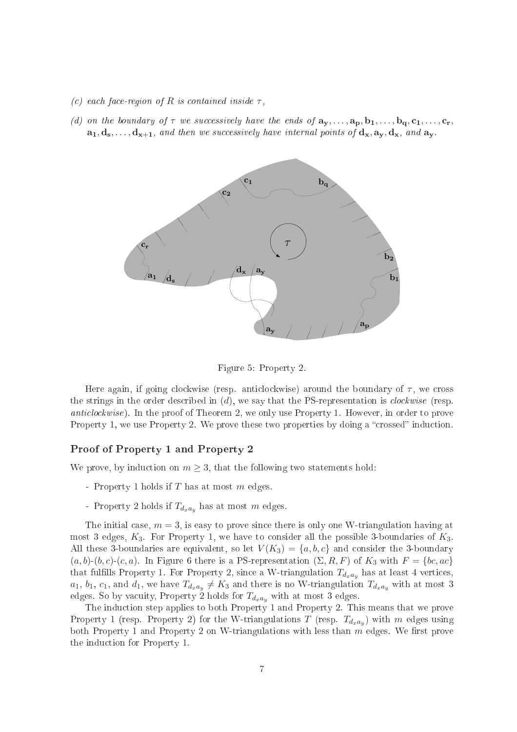- (c) each face-region of R is contained inside  $\tau$ ,
- (d) on the boundary of  $\tau$  we successively have the ends of  $a_y, \ldots, a_p, b_1, \ldots, b_q, c_1, \ldots, c_r$  $a_1, d_s, \ldots, d_{x+1}$ , and then we successively have internal points of  $d_x, a_y, d_x$ , and  $a_y$ .



Figure 5: Property 2.

Here again, if going clockwise (resp. anticlockwise) around the boundary of  $\tau$ , we cross the strings in the order described in  $(d)$ , we say that the PS-representation is *clockwise* (resp. anticlockwise). In the proof of Theorem 2, we only use Property 1. However, in order to prove Property 1, we use Property 2. We prove these two properties by doing a "crossed" induction.

## Proof of Property <sup>1</sup> and Property <sup>2</sup>

We prove, by induction on  $m \geq 3$ , that the following two statements hold:

- Property 1 holds if  $T$  has at most  $m$  edges.
- Property 2 holds if  $T_{d_xa_y}$  has at most m edges.

The initial case,  $m = 3$ , is easy to prove since there is only one W-triangulation having at most 3 edges,  $K_3$ . For Property 1, we have to consider all the possible 3-boundaries of  $K_3$ . All these 3-boundaries are equivalent, so let  $V(K_3) = \{a, b, c\}$  and consider the 3-boundary  $(a, b)$ - $(b, c)$ - $(c, a)$ . In Figure 6 there is a PS-representation  $(\Sigma, R, F)$  of  $K_3$  with  $F = \{bc, ac\}$ that fulfills Property 1. For Property 2, since a W-triangulation  $T_{d_x a_y}$  has at least 4 vertices,  $a_1, b_1, c_1$ , and  $d_1$ , we have  $T_{d_xa_y} \neq K_3$  and there is no W-triangulation  $T_{d_xa_y}$  with at most 3 edges. So by vacuity, Property 2 holds for  $T_{d_x a_y}$  with at most 3 edges.

The induction step applies to both Property 1 and Property 2. This means that we prove Property 1 (resp. Property 2) for the W-triangulations  $T$  (resp.  $T_{d_x a_y}$ ) with  $m$  edges using both Property 1 and Property 2 on W-triangulations with less than  $m$  edges. We first prove the indu
tion for Property 1.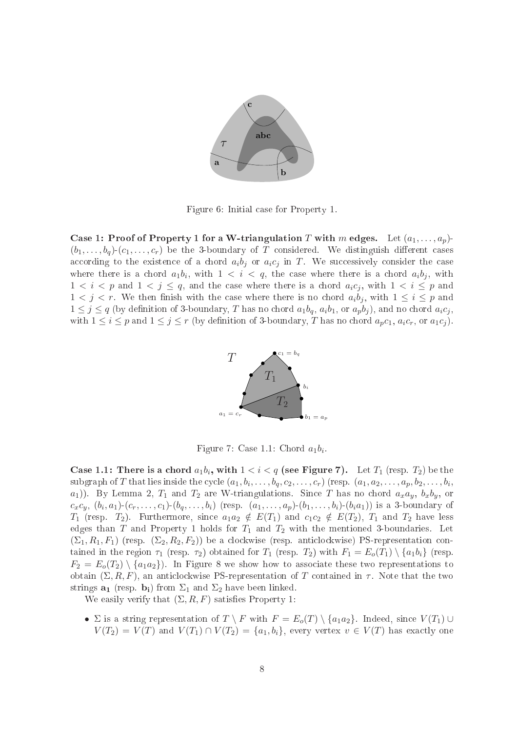

Figure 6: Initial ase for Property 1.

Case 1: Proof of Property 1 for a W-triangulation T with m edges. Let  $(a_1, \ldots, a_p)$ - $(b_1, \ldots, b_q)$ - $(c_1, \ldots, c_r)$  be the 3-boundary of T considered. We distinguish different cases according to the existence of a chord  $a_i b_j$  or  $a_i c_j$  in T. We successively consider the case where there is a chord  $a_1b_i$ , with  $1 \, < i \, < q$ , the case where there is a chord  $a_ib_j$ , with  $1 < i < p$  and  $1 < j \le q$ , and the case where there is a chord  $a_i c_j$ , with  $1 < i \le p$  and  $1 < j < r$ . We then finish with the case where there is no chord  $a_i b_j$ , with  $1 \le i \le p$  and  $1 \leq j \leq q$  (by definition of 3-boundary, T has no chord  $a_1b_q$ ,  $a_ib_1$ , or  $a_pb_j$ ), and no chord  $a_ic_j$ , with  $1 \leq i \leq p$  and  $1 \leq j \leq r$  (by definition of 3-boundary, T has no chord  $a_p c_1, a_i c_r$ , or  $a_1 c_j$ ).



Figure 7: Case 1.1: Chord  $a_1b_i$ .

Case 1.1: There is a chord  $a_1b_i$ , with  $1 < i < q$  (see Figure 7). Let  $T_1$  (resp.  $T_2$ ) be the subgraph of  $T$  that lies inside the cycle  $(a_1,b_i,\ldots,b_q,c_2,\ldots,c_r)$  (resp.  $(a_1,a_2,\ldots,a_p,b_2,\ldots,b_i,$  $a_1$ ). By Lemma 2,  $T_1$  and  $T_2$  are W-triangulations. Since T has no chord  $a_x a_y$ ,  $b_x b_y$ , or  $c_xc_y$ ,  $(b_i,a_1)-(c_r,\ldots,c_1)-(b_q,\ldots,b_i)$  (resp.  $(a_1,\ldots,a_p)-(b_1,\ldots,b_i)-(b_ia_1))$  is a 3-boundary of  $T_1$  (resp.  $T_2$ ). Furthermore, since  $a_1a_2 \notin E(T_1)$  and  $c_1c_2 \notin E(T_2)$ ,  $T_1$  and  $T_2$  have less edges than T and Property 1 holds for  $T_1$  and  $T_2$  with the mentioned 3-boundaries. Let  $(\Sigma_1, R_1, F_1)$  (resp.  $(\Sigma_2, R_2, F_2)$ ) be a clockwise (resp. anticlockwise) PS-representation contained in the region  $\tau_1$  (resp.  $\tau_2$ ) obtained for  $T_1$  (resp.  $T_2$ ) with  $F_1 = E_o(T_1) \setminus \{a_1b_i\}$  (resp.  $F_2 = E_o(T_2) \setminus \{a_1 a_2\}$ . In Figure 8 we show how to associate these two representations to obtain  $(\Sigma, R, F)$ , an anticlockwise PS-representation of T contained in  $\tau$ . Note that the two strings  $\mathbf{a}_1$  (resp.  $\mathbf{b}_i$ ) from  $\Sigma_1$  and  $\Sigma_2$  have been linked.

We easily verify that  $(\Sigma, R, F)$  satisfies Property 1:

•  $\Sigma$  is a string representation of  $T \setminus F$  with  $F = E_o(T) \setminus \{a_1 a_2\}$ . Indeed, since  $V(T_1) \cup$  $V(T_2) = V(T)$  and  $V(T_1) \cap V(T_2) = \{a_1, b_i\}$ , every vertex  $v \in V(T)$  has exactly one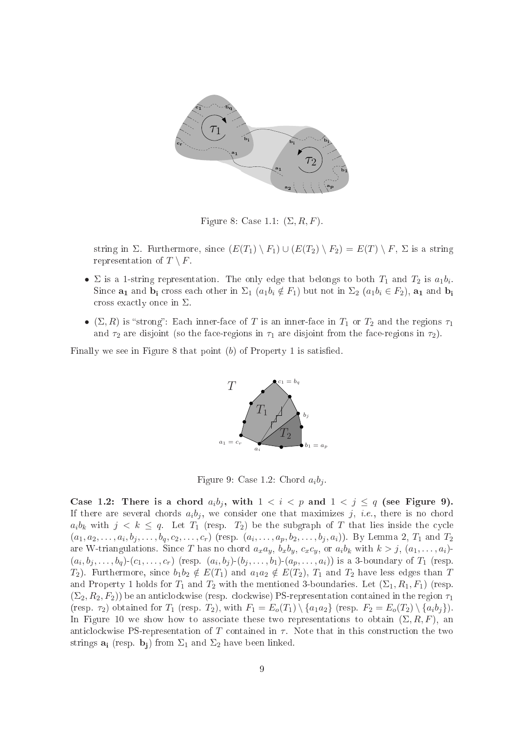

Figure 8: Case 1.1:  $(\Sigma, R, F)$ .

string in  $\Sigma$ . Furthermore, since  $(E(T_1) \setminus F_1) \cup (E(T_2) \setminus F_2) = E(T) \setminus F$ ,  $\Sigma$  is a string representation of  $T \setminus F$ .

- $\Sigma$  is a 1-string representation. The only edge that belongs to both  $T_1$  and  $T_2$  is  $a_1b_i$ . Since  $\mathbf{a}_1$  and  $\mathbf{b}_i$  cross each other in  $\Sigma_1$   $(a_1b_i \notin F_1)$  but not in  $\Sigma_2$   $(a_1b_i \in F_2)$ ,  $\mathbf{a}_1$  and  $\mathbf{b}_i$ cross exactly once in  $\Sigma$ .
- $(\Sigma, R)$  is "strong": Each inner-face of T is an inner-face in  $T_1$  or  $T_2$  and the regions  $\tau_1$ and  $\tau_2$  are disjoint (so the face-regions in  $\tau_1$  are disjoint from the face-regions in  $\tau_2$ ).

Finally we see in Figure 8 that point  $(b)$  of Property 1 is satisfied.



Figure 9: Case 1.2: Chord  $a_i b_i$ 

Case 1.2: There is a chord  $a_i b_j$ , with  $1 < i < p$  and  $1 < j \le q$  (see Figure 9). If there are several chords  $a_i b_j$ , we consider one that maximizes j, i.e., there is no chord  $a_i b_k$  with  $j < k \leq q$ . Let  $T_1$  (resp.  $T_2$ ) be the subgraph of T that lies inside the cycle  $(a_1,a_2,\ldots,a_i,b_j,\ldots,b_q,c_2,\ldots,c_r)$  (resp.  $(a_i,\ldots,a_p,b_2,\ldots,b_j,a_i)$ ). By Lemma 2,  $T_1$  and  $T_2$ are W-triangulations. Since T has no chord  $a_x a_y$ ,  $b_x b_y$ ,  $c_x c_y$ , or  $a_i b_k$  with  $k > j$ ,  $(a_1, \ldots, a_i)$ - $(a_i, b_j, \ldots, b_q)$ - $(c_1, \ldots, c_r)$  (resp.  $(a_i, b_j)$ - $(b_j, \ldots, b_1)$ - $(a_p, \ldots, a_i)$ ) is a 3-boundary of  $T_1$  (resp.  $T_2$ ). Furthermore, since  $b_1b_2 \notin E(T_1)$  and  $a_1a_2 \notin E(T_2)$ ,  $T_1$  and  $T_2$  have less edges than T and Property 1 holds for  $T_1$  and  $T_2$  with the mentioned 3-boundaries. Let  $(\Sigma_1, R_1, F_1)$  (resp.  $(\Sigma_2, R_2, F_2)$ ) be an anticlockwise (resp. clockwise) PS-representation contained in the region  $\tau_1$ (resp.  $\tau_2$ ) obtained for  $T_1$  (resp.  $T_2$ ), with  $F_1 = E_o(T_1) \setminus \{a_1 a_2\}$  (resp.  $F_2 = E_o(T_2) \setminus \{a_i b_j\}$ ). In Figure 10 we show how to associate these two representations to obtain  $(\Sigma, R, F)$ , and anticlockwise PS-representation of T contained in  $\tau$ . Note that in this construction the two strings  $\mathbf{a}_i$  (resp.  $\mathbf{b}_i$ ) from  $\Sigma_1$  and  $\Sigma_2$  have been linked.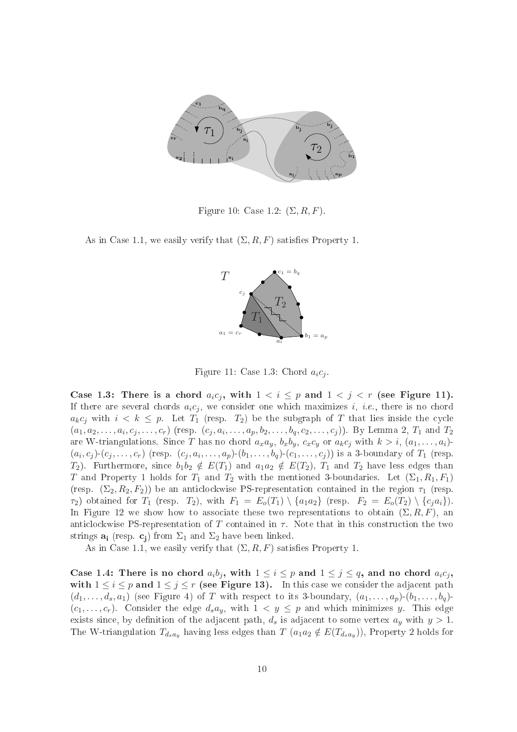

Figure 10: Case 1.2:  $(\Sigma, R, F)$ .

As in Case 1.1, we easily verify that  $(\Sigma, R, F)$  satisfies Property 1.



Figure 11: Case 1.3: Chord  $a_i c_j$ .

Case 1.3: There is a chord  $a_i c_j$ , with  $1 < i \leq p$  and  $1 < j < r$  (see Figure 11). If there are several chords  $a_i c_j$ , we consider one which maximizes i, i.e., there is no chord  $a_k c_j$  with  $i < k \leq p$ . Let  $T_1$  (resp.  $T_2$ ) be the subgraph of T that lies inside the cycle  $(a_1, a_2, \ldots, a_i, c_j, \ldots, c_r)$  (resp.  $(c_j, a_i, \ldots, a_p, b_2, \ldots, b_q, c_2, \ldots, c_j)$ ). By Lemma 2,  $T_1$  and  $T_2$ are W-triangulations. Since T has no chord  $a_x a_y$ ,  $b_x b_y$ ,  $c_x c_y$  or  $a_k c_j$  with  $k > i$ ,  $(a_1, \ldots, a_i)$ - $(a_i, c_j)$ - $(c_j, \ldots, c_r)$  (resp.  $(c_j, a_i, \ldots, a_p)$ - $(b_1, \ldots, b_q)$ - $(c_1, \ldots, c_j)$ ) is a 3-boundary of  $T_1$  (resp.  $T_2$ ). Furthermore, since  $b_1b_2 \notin E(T_1)$  and  $a_1a_2 \notin E(T_2)$ ,  $T_1$  and  $T_2$  have less edges than T and Property 1 holds for  $T_1$  and  $T_2$  with the mentioned 3-boundaries. Let  $(\Sigma_1, R_1, F_1)$ (resp.  $(\Sigma_2, R_2, F_2)$ ) be an anticlockwise PS-representation contained in the region  $\tau_1$  (resp.  $\tau_1$ ) obtained for  $T_1$  (resp.  $T_2$ ), with  $F_1 = E_o(T_1) \setminus \{a_1a_2\}$  (resp.  $F_2 = E_o(T_2) \setminus \{c_ja_i\}$ ). In Figure 12 we show how to associate these two representations to obtain  $(\Sigma, R, F)$ , an anticlockwise PS-representation of T contained in  $\tau$ . Note that in this construction the two strings  $\mathbf{a}_i$  (resp.  $\mathbf{c}_i$ ) from  $\Sigma_1$  and  $\Sigma_2$  have been linked.

As in Case 1.1, we easily verify that  $(\Sigma, R, F)$  satisfies Property 1.

Case 1.4: There is no chord  $a_i b_j$ , with  $1 \leq i \leq p$  and  $1 \leq j \leq q$ , and no chord  $a_i c_j$ , with  $1 \leq i \leq p$  and  $1 \leq j \leq r$  (see Figure 13). In this case we consider the adjacent path  $(d_1,\ldots,d_s,a_1)$  (see Figure 4) of T with respect to its 3-boundary,  $(a_1,\ldots,a_p)(b_1,\ldots,b_q)$  $(c_1, \ldots, c_r)$ . Consider the edge  $d_s a_y$ , with  $1 \lt y \leq p$  and which minimizes y. This edge exists since, by definition of the adjacent path,  $d_s$  is adjacent to some vertex  $a_y$  with  $y > 1$ . The W-triangulation  $T_{d_s a_y}$  having less edges than  $T$   $(a_1 a_2 \notin E(T_{d_s a_y}))$ , Property 2 holds for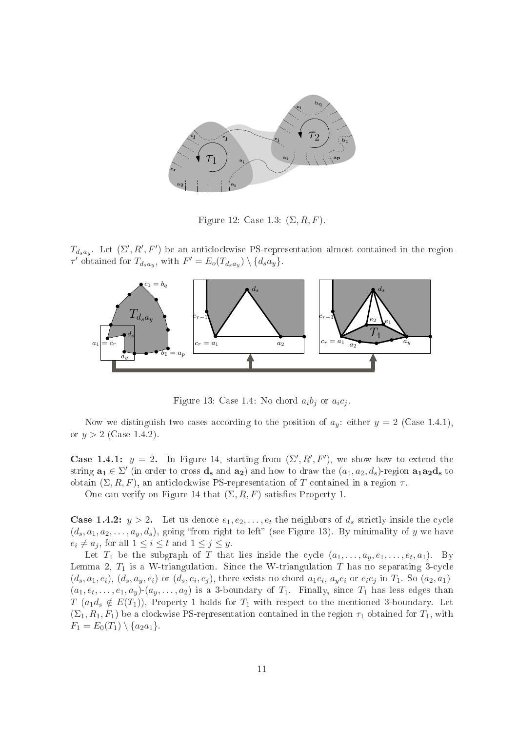

Figure 12: Case 1.3:  $(\Sigma, R, F)$ .

 $T_{d_s a_y}$ . Let  $(\Sigma', R', F')$  be an anticlockwise PS-representation almost contained in the region  $\tau'$  obtained for  $T_{d_s a_y}$ , with  $F' = E_o(T_{d_s a_y}) \setminus \{d_s a_y\}.$ 



Figure 13: Case 1.4: No chord  $a_i b_j$  or  $a_i c_j$ .

Now we distinguish two cases according to the position of  $a_y$ : either  $y = 2$  (Case 1.4.1), or  $y > 2$  (Case 1.4.2).

**Case 1.4.1:**  $y = 2$ . In Figure 14, starting from  $(\Sigma', R', F')$ , we show how to extend the string  $\mathbf{a_1} \in \Sigma'$  (in order to cross  $\mathbf{d_s}$  and  $\mathbf{a_2}$ ) and how to draw the  $(a_1, a_2, d_s)$ -region  $\mathbf{a_1} \mathbf{a_2} \mathbf{d_s}$  to obtain  $(\Sigma, R, F)$ , an anticlockwise PS-representation of T contained in a region  $\tau$ .

One can verify on Figure 14 that  $(\Sigma, R, F)$  satisfies Property 1.

**Case 1.4.2:**  $y > 2$ . Let us denote  $e_1, e_2, \ldots, e_t$  the neighbors of  $d_s$  strictly inside the cycle  $(d_s, a_1, a_2, \ldots, a_y, d_s)$ , going "from right to left" (see Figure 13). By minimality of y we have  $e_i \neq a_j$ , for all  $1 \leq i \leq t$  and  $1 \leq j \leq y$ .

Let  $T_1$  be the subgraph of T that lies inside the cycle  $(a_1, \ldots, a_y, e_1, \ldots, e_t, a_1)$ . By Lemma 2,  $T_1$  is a W-triangulation. Since the W-triangulation T has no separating 3-cycle  $(d_s, a_1, e_i), (d_s, a_y, e_i)$  or  $(d_s, e_i, e_j)$ , there exists no chord  $a_1e_i, a_ye_i$  or  $e_ie_j$  in  $T_1$ . So  $(a_2, a_1)$ - $(a_1, e_t, \ldots, e_1, a_y)$   $(a_y, \ldots, a_2)$  is a 3-boundary of  $T_1$ . Finally, since  $T_1$  has less edges than  $T(a_1d_s \notin E(T_1))$ , Property 1 holds for  $T_1$  with respect to the mentioned 3-boundary. Let  $(\Sigma_1, R_1, F_1)$  be a clockwise PS-representation contained in the region  $\tau_1$  obtained for  $T_1$ , with  $F_1 = E_0(T_1) \setminus \{a_2a_1\}.$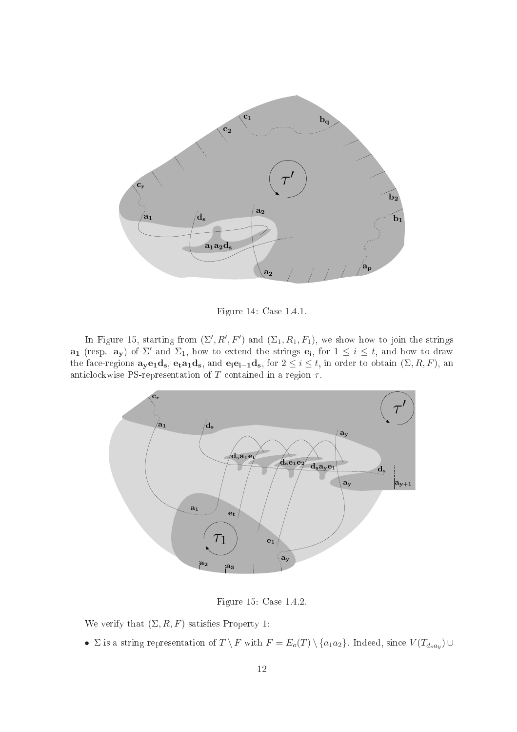

Figure 14: Case 1.4.1.

In Figure 15, starting from  $(\Sigma', R', F')$  and  $(\Sigma_1, R_1, F_1)$ , we show how to join the strings  $\mathbf{a}_1$  (resp.  $\mathbf{a}_y$ ) of  $\Sigma'$  and  $\Sigma_1$ , how to extend the strings  $\mathbf{e}_i$ , for  $1 \leq i \leq t$ , and how to draw the face-regions  $\mathbf{a}_{\mathbf{y}}\mathbf{e}_1\mathbf{d}_{\mathbf{s}}, \mathbf{e}_{\mathbf{t}}\mathbf{a}_1\mathbf{d}_{\mathbf{s}},$  and  $\mathbf{e}_{\mathbf{i}}\mathbf{e}_{\mathbf{i}-1}\mathbf{d}_{\mathbf{s}},$  for  $2 \leq i \leq t$ , in order to obtain  $(\Sigma, R, F)$ , an anticlockwise PS-representation of T contained in a region  $\tau$ .



Figure 15: Case 1.4.2.

We verify that  $(\Sigma, R, F)$  satisfies Property 1:

•  $\Sigma$  is a string representation of  $T \setminus F$  with  $F = E_o(T) \setminus \{a_1 a_2\}$ . Indeed, since  $V(T_{d_s a_y}) \cup$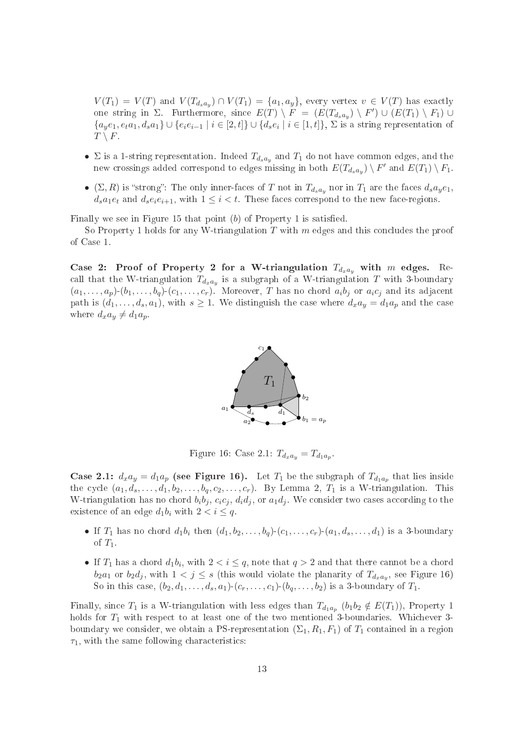$V(T_1) = V(T)$  and  $V(T_{d_s a_y}) \cap V(T_1) = \{a_1, a_y\}$ , every vertex  $v \in V(T)$  has exactly one string in  $\Sigma$ . Furthermore, since  $E(T) \setminus F = (E(T_{d_s a_y}) \setminus F') \cup (E(T_1) \setminus F_1) \cup$  ${a_ye_1, e_t a_1, d_sa_1} \cup {e_ie_{i-1} | i \in [2, t]} \cup {d_se_i | i \in [1, t]}, \Sigma \text{ is a string representation of }$  $T \setminus F$ .

- $\Sigma$  is a 1-string representation. Indeed  $T_{d_s a_y}$  and  $T_1$  do not have common edges, and the new crossings added correspond to edges missing in both  $E(T_{d_s a_y}) \setminus F'$  and  $E(T_1) \setminus F_1$ .
- $(\Sigma, R)$  is "strong": The only inner-faces of T not in  $T_{d_s a_y}$  nor in  $T_1$  are the faces  $d_s a_y e_1$ ,  $d_s a_1 e_t$  and  $d_s e_i e_{i+1}$ , with  $1 \leq i < t$ . These faces correspond to the new face-regions.

Finally we see in Figure 15 that point  $(b)$  of Property 1 is satisfied.

So Property 1 holds for any W-triangulation  $T$  with  $m$  edges and this concludes the proof of Case 1.

Case 2: Proof of Property 2 for a W-triangulation  $T_{d_x a_y}$  with m edges. Recall that the W-triangulation  $T_{d_xa_y}$  is a subgraph of a W-triangulation  $T$  with 3-boundary  $(a_1, \ldots, a_p)(b_1, \ldots, b_q)(c_1, \ldots, c_r)$ . Moreover, T has no chord  $a_ib_j$  or  $a_ic_j$  and its adjacent path is  $(d_1, \ldots, d_s, a_1)$ , with  $s \geq 1$ . We distinguish the case where  $d_x a_y = d_1 a_p$  and the case where  $d_x a_y \neq d_1 a_p$ .



Figure 16: Case 2.1:  $T_{d_x a_y} = T_{d_1 a_p}$ .

**Case 2.1:**  $d_x a_y = d_1 a_p$  (see Figure 16). Let  $T_1$  be the subgraph of  $T_{d_1 a_p}$  that lies inside the cycle  $(a_1, d_s, \ldots, d_1, b_2, \ldots, b_q, c_2, \ldots, c_r)$ . By Lemma 2,  $T_1$  is a W-triangulation. This W-triangulation has no chord  $b_i b_j$ ,  $c_i c_j$ ,  $d_i d_j$ , or  $a_1 d_j$ . We consider two cases according to the existence of an edge  $d_1b_i$  with  $2 < i \leq q$ .

- If  $T_1$  has no chord  $d_1b_i$  then  $(d_1, b_2, \ldots, b_q)$ - $(c_1, \ldots, c_r)$ - $(a_1, d_s, \ldots, d_1)$  is a 3-boundary of  $T_1$ .
- If  $T_1$  has a chord  $d_1b_i$ , with  $2 < i \leq q$ , note that  $q > 2$  and that there cannot be a chord  $b_2a_1$  or  $b_2d_j$ , with  $1 < j \leq s$  (this would violate the planarity of  $T_{d_xa_y}$ , see Figure 16) So in this case,  $(b_2, d_1, \ldots, d_s, a_1)$ - $(c_r, \ldots, c_1)$ - $(b_q, \ldots, b_2)$  is a 3-boundary of  $T_1$ .

Finally, since  $T_1$  is a W-triangulation with less edges than  $T_{d_1a_p}$   $(b_1b_2 \notin E(T_1))$ , Property 1 holds for  $T_1$  with respect to at least one of the two mentioned 3-boundaries. Whichever 3boundary we consider, we obtain a PS-representation  $(\Sigma_1, R_1, F_1)$  of  $T_1$  contained in a region  $\tau_1$ , with the same following characteristics: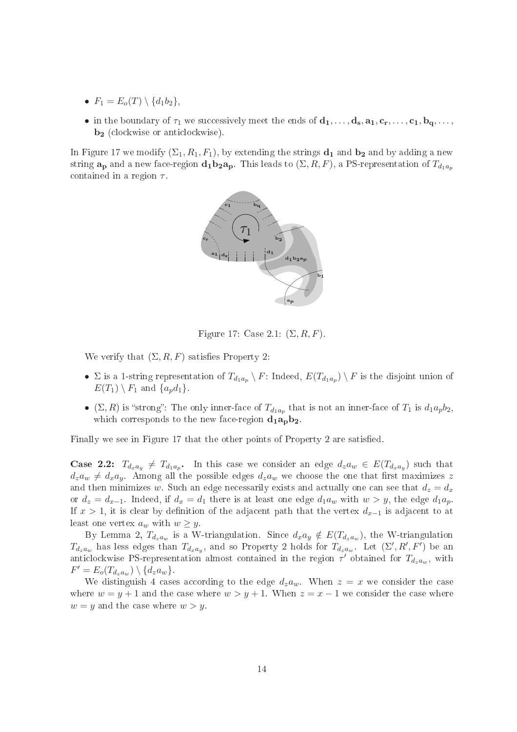- $F_1 = E_o(T) \setminus \{d_1b_2\},\,$
- in the boundary of  $\tau_1$  we successively meet the ends of  $\mathbf{d}_1, \ldots, \mathbf{d}_s, \mathbf{a}_1, \mathbf{c}_r, \ldots, \mathbf{c}_1, \mathbf{b}_q, \ldots$ b<sub>2</sub> (clockwise or anticlockwise).

In Figure 17 we modify  $(\Sigma_1, R_1, F_1)$ , by extending the strings  $\mathbf{d}_1$  and  $\mathbf{b}_2$  and by adding a new string  $\mathbf{a_p}$  and a new face-region  $\mathbf{d_1b_2a_p}$ . This leads to  $(\Sigma, R, F)$ , a PS-representation of  $T_{d_1a_p}$ contained in a region  $\tau$ .



Figure 17: Case 2.1:  $(\Sigma, R, F)$ .

We verify that  $(\Sigma, R, F)$  satisfies Property 2:

- $\Sigma$  is a 1-string representation of  $T_{d_1a_p} \setminus F$ : Indeed,  $E(T_{d_1a_p}) \setminus F$  is the disjoint union of  $E(T_1) \setminus F_1$  and  $\{a_p d_1\}.$
- $(\Sigma, R)$  is "strong": The only inner-face of  $T_{d_1a_p}$  that is not an inner-face of  $T_1$  is  $d_1a_pb_2$ , which corresponds to the new face-region  $d_1a_n b_2$ .

Finally we see in Figure 17 that the other points of Property 2 are satisfied.

**Case 2.2:**  $T_{d_x a_y} \neq T_{d_1 a_p}$ . In this case we consider an edge  $d_z a_w \in E(T_{d_x a_y})$  such that  $d_z a_w \neq d_x a_y$ . Among all the possible edges  $d_z a_w$  we choose the one that first maximizes z and then minimizes w. Such an edge necessarily exists and actually one can see that  $d_z = d_x$ or  $d_z = d_{x-1}$ . Indeed, if  $d_x = d_1$  there is at least one edge  $d_1 a_w$  with  $w > y$ , the edge  $d_1 a_p$ . If  $x > 1$ , it is clear by definition of the adjacent path that the vertex  $d_{x-1}$  is adjacent to at least one vertex  $a_w$  with  $w \geq y$ .

By Lemma 2,  $T_{d_z a_w}$  is a W-triangulation. Since  $d_x a_y \notin E(T_{d_z a_w})$ , the W-triangulation  $T_{d_z a_w}$  has less edges than  $T_{d_x a_y}$ , and so Property 2 holds for  $T_{d_z a_w}$ . Let  $(\Sigma', R', F')$  be an anticlockwise PS-representation almost contained in the region  $\tau'$  obtained for  $T_{d_z a_w}$ , with  $F' = E_o(T_{d_za_w}) \setminus \{d_za_w\}.$ 

We distinguish 4 cases according to the edge  $d_za_w$ . When  $z = x$  we consider the case where  $w = y + 1$  and the case where  $w > y + 1$ . When  $z = x - 1$  we consider the case where  $w = y$  and the case where  $w > y$ .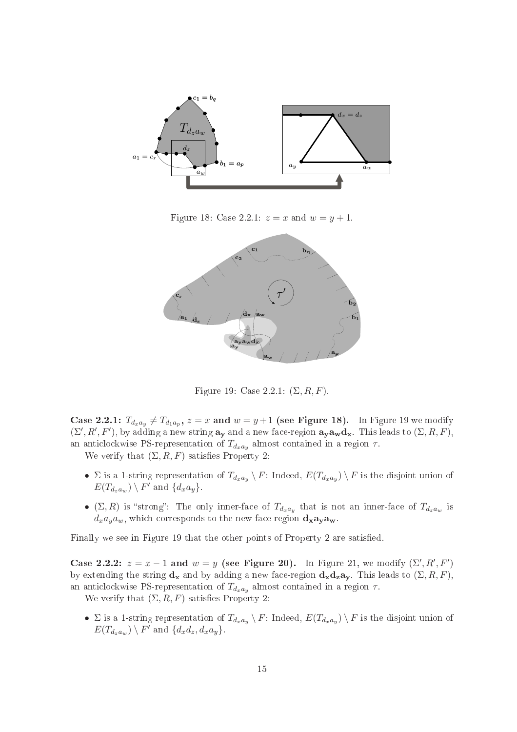

Figure 18: Case 2.2.1:  $z = x$  and  $w = y + 1$ .



Figure 19: Case 2.2.1:  $(\Sigma, R, F)$ .

**Case 2.2.1:**  $T_{d_x a_y} \neq T_{d_1 a_p}, z = x$  and  $w = y + 1$  (see Figure 18). In Figure 19 we modify  $(\Sigma', R', F')$ , by adding a new string  $\mathbf{a}_{\mathbf{y}}$  and a new face-region  $\mathbf{a}_{\mathbf{y}} \mathbf{a}_{\mathbf{w}} \mathbf{d}_{\mathbf{x}}$ . This leads to  $(\Sigma, R, F)$ , an anticlockwise PS-representation of  $T_{d_xa_y}$  almost contained in a region  $\tau$ .

We verify that  $(\Sigma, R, F)$  satisfies Property 2:

- $\Sigma$  is a 1-string representation of  $T_{d_x a_y} \setminus F$ : Indeed,  $E(T_{d_x a_y}) \setminus F$  is the disjoint union of  $E(T_{d_za_w}) \setminus F'$  and  $\{d_xa_y\}$ .
- ( $\Sigma, R$ ) is "strong": The only inner-face of  $T_{d_x a_y}$  that is not an inner-face of  $T_{d_z a_w}$  is  $d_x a_y a_w$ , which corresponds to the new face-region  $d_x a_v a_w$

Finally we see in Figure 19 that the other points of Property 2 are satisfied.

Case 2.2.2:  $z = x - 1$  and  $w = y$  (see Figure 20). In Figure 21, we modify  $(\Sigma', R', F')$ by extending the string  $\mathbf{d}_{\mathbf{x}}$  and by adding a new face-region  $\mathbf{d}_{\mathbf{x}}\mathbf{d}_{\mathbf{z}}\mathbf{a}_{\mathbf{v}}$ . This leads to  $(\Sigma, R, F)$ , an anticlockwise PS-representation of  $T_{d_x a_y}$  almost contained in a region  $\tau.$ 

We verify that  $(\Sigma, R, F)$  satisfies Property 2:

•  $\Sigma$  is a 1-string representation of  $T_{d_xa_y} \setminus F$ : Indeed,  $E(T_{d_xa_y}) \setminus F$  is the disjoint union of  $E(T_{d_za_w}) \setminus F'$  and  $\{d_xd_z, d_xa_y\}.$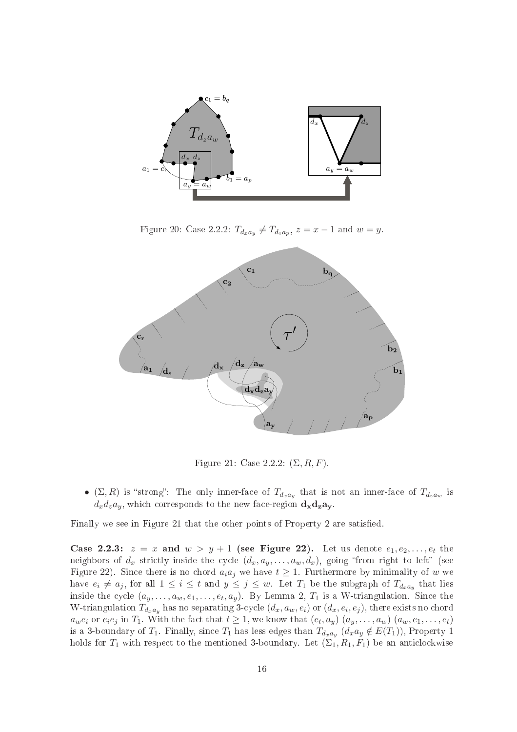

Figure 20: Case 2.2.2:  $T_{d_x a_y} \neq T_{d_1 a_p}, z = x - 1$  and  $w = y$ .



Figure 21: Case 2.2.2:  $(\Sigma, R, F)$ .

• ( $\Sigma, R$ ) is "strong": The only inner-face of  $T_{d_x a_y}$  that is not an inner-face of  $T_{d_z a_w}$  is  $d_x d_z a_y$ , which corresponds to the new face-region  $\mathbf{d_x d_z a_y}$ .

Finally we see in Figure 21 that the other points of Property 2 are satisfied.

Case 2.2.3:  $z = x$  and  $w > y + 1$  (see Figure 22). Let us denote  $e_1, e_2, \ldots, e_t$  the neighbors of  $d_x$  strictly inside the cycle  $(d_x, a_y, \ldots, a_w, d_x)$ , going "from right to left" (see Figure 22). Since there is no chord  $a_i a_j$  we have  $t \geq 1$ . Furthermore by minimality of w we have  $e_i \neq a_j$ , for all  $1 \leq i \leq t$  and  $y \leq j \leq w$ . Let  $T_1$  be the subgraph of  $T_{d_x a_y}$  that lies inside the cycle  $(a_y, \ldots, a_w, e_1, \ldots, e_t, a_y)$ . By Lemma 2,  $T_1$  is a W-triangulation. Since the W-triangulation  $T_{d_xa_y}$  has no separating 3-cycle  $(d_x,a_w,e_i)$  or  $(d_x,e_i,e_j),$  there exists no chord  $a_w e_i$  or  $e_i e_j$  in  $T_1$ . With the fact that  $t \geq 1$ , we know that  $(e_t, a_y)$   $(a_y, \ldots, a_w)$ - $(a_w, e_1, \ldots, e_t)$ is a 3-boundary of  $T_1$ . Finally, since  $T_1$  has less edges than  $T_{d_x a_y}$   $(d_x a_y \notin E(T_1))$ , Property 1 holds for  $T_1$  with respect to the mentioned 3-boundary. Let  $(\Sigma_1, R_1, F_1)$  be an anticlockwise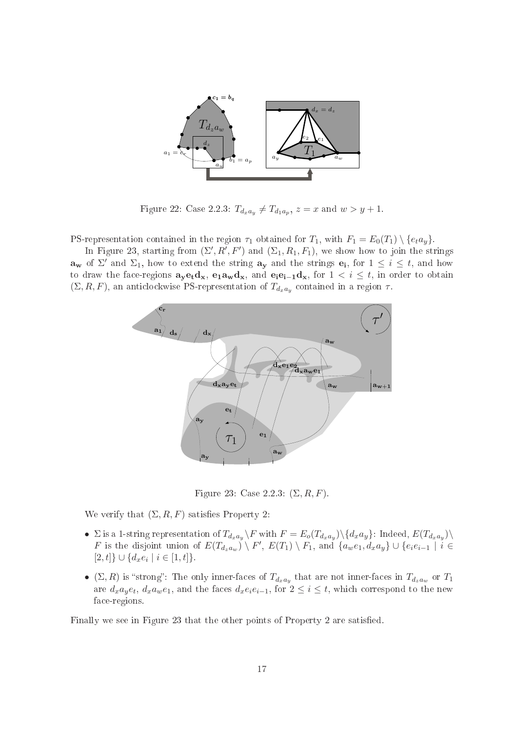

Figure 22: Case 2.2.3:  $T_{d_x a_y} \neq T_{d_1 a_p}, z = x \text{ and } w > y + 1.$ 

PS-representation contained in the region  $\tau_1$  obtained for  $T_1$ , with  $F_1 = E_0(T_1) \setminus \{e_t a_y\}$ .

In Figure 23, starting from  $(\Sigma', R', F')$  and  $(\Sigma_1, R_1, F_1)$ , we show how to join the strings  $\mathbf{a_w}$  of  $\Sigma'$  and  $\Sigma_1$ , how to extend the string  $\mathbf{a_y}$  and the strings  $\mathbf{e_i}$ , for  $1 \leq i \leq t$ , and how to draw the face-regions  $a_y e_t d_x$ ,  $e_1 a_w d_x$ , and  $e_i e_{i-1} d_x$ , for  $1 \lt i \leq t$ , in order to obtain  $(\Sigma, R, F)$ , an anticlockwise PS-representation of  $T_{d_x a_y}$  contained in a region  $\tau$ .



Figure 23: Case 2.2.3:  $(\Sigma, R, F)$ .

We verify that  $(\Sigma, R, F)$  satisfies Property 2:

- $\Sigma$  is a 1-string representation of  $T_{d_xa_y}\backslash F$  with  $F=E_o(T_{d_xa_y})\backslash\{d_xa_y\}$ : Indeed,  $E(T_{d_xa_y})\backslash$ F is the disjoint union of  $E(T_{d_2aw}) \setminus F'$ ,  $E(T_1) \setminus F_1$ , and  $\{a_w e_1, d_x a_y\} \cup \{e_i e_{i-1} \mid i \in$  $[2, t] \cup \{d_x e_i \mid i \in [1, t]\}.$
- $\bullet$  (Σ, R) is "strong": The only inner-faces of  $T_{d_x a_y}$  that are not inner-faces in  $T_{d_z a_w}$  or  $T_1$ are  $d_x a_y e_t$ ,  $d_x a_w e_1$ , and the faces  $d_x e_i e_{i-1}$ , for  $2 \leq i \leq t$ , which correspond to the new fa
e-regions.

Finally we see in Figure 23 that the other points of Property 2 are satisfied.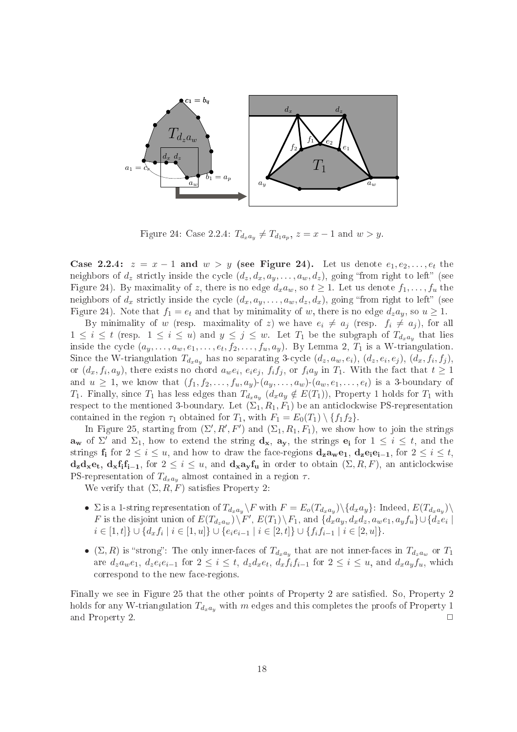

Figure 24: Case 2.2.4:  $T_{d_x a_y} \neq T_{d_1 a_p}, z = x - 1$  and  $w > y$ .

Case 2.2.4:  $z = x - 1$  and  $w > y$  (see Figure 24). Let us denote  $e_1, e_2, \ldots, e_t$  the neighbors of  $d_z$  strictly inside the cycle  $(d_z, d_x, a_y, \ldots, a_w, d_z)$ , going "from right to left" (see Figure 24). By maximality of z, there is no edge  $d_x a_w$ , so  $t \ge 1$ . Let us denote  $f_1, \ldots, f_u$  the neighbors of  $d_x$  strictly inside the cycle  $(d_x, a_y, \ldots, a_w, d_z, d_x)$ , going "from right to left" (see Figure 24). Note that  $f_1 = e_t$  and that by minimality of w, there is no edge  $d_z a_y$ , so  $u \ge 1$ .

By minimality of w (resp. maximality of z) we have  $e_i \neq a_j$  (resp.  $f_i \neq a_j$ ), for all  $1 \leq i \leq t$  (resp.  $1 \leq i \leq u$ ) and  $y \leq j \leq w$ . Let  $T_1$  be the subgraph of  $T_{d_x a_y}$  that lies inside the cycle  $(a_y, \ldots, a_w, e_1, \ldots, e_t, f_2, \ldots, f_u, a_y)$ . By Lemma 2,  $T_1$  is a W-triangulation. Since the W-triangulation  $T_{d_x a_y}$  has no separating 3-cycle  $(d_z, a_w, e_i)$ ,  $(d_z, e_i, e_j)$ ,  $(d_x, f_i, f_j)$ , or  $(d_x, f_i, a_y)$ , there exists no chord  $a_w e_i, e_i e_j, f_i f_j$ , or  $f_i a_y$  in  $T_1$ . With the fact that  $t \geq 1$ and  $u \geq 1$ , we know that  $(f_1, f_2, \ldots, f_u, a_y)$ - $(a_y, \ldots, a_w)$ - $(a_w, e_1, \ldots, e_t)$  is a 3-boundary of  $T_1$ . Finally, since  $T_1$  has less edges than  $T_{d_x a_y}$   $(d_x a_y \notin E(T_1))$ , Property 1 holds for  $T_1$  with respect to the mentioned 3-boundary. Let  $(\Sigma_1, R_1, F_1)$  be an anticlockwise PS-representation contained in the region  $\tau_1$  obtained for  $T_1$ , with  $F_1 = E_0(T_1) \setminus \{f_1, f_2\}.$ 

In Figure 25, starting from  $(\Sigma', R', F')$  and  $(\Sigma_1, R_1, F_1)$ , we show how to join the strings  $\mathbf{a}_{\mathbf{w}}$  of  $\Sigma'$  and  $\Sigma_1$ , how to extend the string  $\mathbf{d}_{\mathbf{x}}$ ,  $\mathbf{a}_{\mathbf{y}}$ , the strings  $\mathbf{e}_i$  for  $1 \leq i \leq t$ , and the strings  $\mathbf{f_i}$  for  $2 \leq i \leq u$ , and how to draw the face-regions  $\mathbf{d_z a_w e_1}$ ,  $\mathbf{d_z e_i e_{i-1}}$ , for  $2 \leq i \leq t$ ,  $d_z d_x e_t$ ,  $d_x f_i f_{i-1}$ , for  $2 \leq i \leq u$ , and  $d_x a_y f_u$  in order to obtain  $(\Sigma, R, F)$ , an anticlockwise PS-representation of  $T_{d_xa_y}$  almost contained in a region  $\tau$ .

We verify that  $(\Sigma, R, F)$  satisfies Property 2:

- $\Sigma$  is a 1-string representation of  $T_{d_xa_y}\backslash F$  with  $F=E_o(T_{d_xa_y})\backslash\{d_xa_y\}$ : Indeed,  $E(T_{d_xa_y})\backslash$ F is the disjoint union of  $E(T_{d_za_w})\backslash F'$ ,  $E(T_1)\backslash F_1$ , and  $\{d_xa_y, d_xd_z, a_we_1, a_yf_u\} \cup \{d_ze_i\}$  $i \in [1, t] \} \cup \{d_x f_i \mid i \in [1, u]\} \cup \{e_i e_{i-1} \mid i \in [2, t]\} \cup \{f_i f_{i-1} \mid i \in [2, u]\}.$
- $\bullet$  ( $\Sigma, R$ ) is "strong": The only inner-faces of  $T_{d_x a_y}$  that are not inner-faces in  $T_{d_z a_w}$  or  $T_1$ are  $d_za_we_1, d_ze_ie_{i-1}$  for  $2 \leq i \leq t$ ,  $d_zd_xe_t$ ,  $d_xf_if_{i-1}$  for  $2 \leq i \leq u$ , and  $d_xa_yf_u$ , which orrespond to the new fa
e-regions.

Finally we see in Figure 25 that the other points of Property 2 are satisfied. So, Property 2 holds for any W-triangulation  $T_{d_x a_y}$  with m edges and this completes the proofs of Property 1 and Property 2.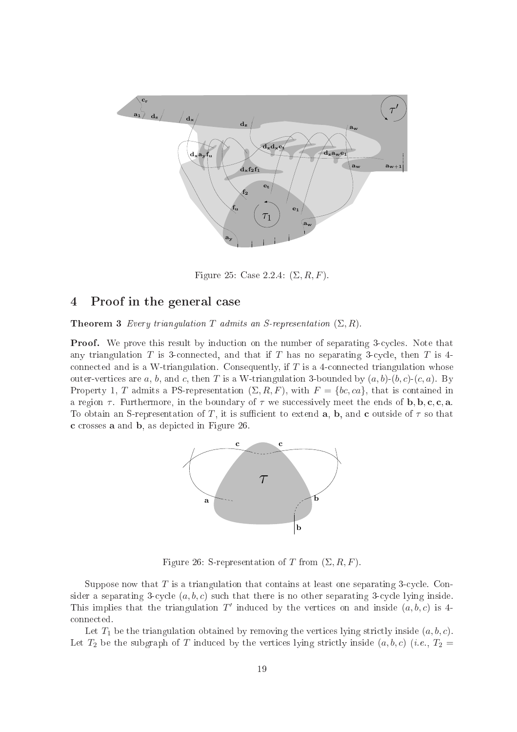

Figure 25: Case 2.2.4:  $(\Sigma, R, F)$ .

#### 4Proof in the general ase

**Theorem 3** Every triangulation T admits an S-representation  $(\Sigma, R)$ .

**Proof.** We prove this result by induction on the number of separating 3-cycles. Note that any triangulation  $T$  is 3-connected, and that if  $T$  has no separating 3-cycle, then  $T$  is 4connected and is a W-triangulation. Consequently, if  $T$  is a 4-connected triangulation whose outer-vertices are a, b, and c, then T is a W-triangulation 3-bounded by  $(a, b)$ - $(b, c)$ - $(c, a)$ . By Property 1, T admits a PS-representation  $(\Sigma, R, F)$ , with  $F = \{bc, ca\}$ , that is contained in a region  $\tau$ . Furthermore, in the boundary of  $\tau$  we successively meet the ends of **b**, **b**, **c**, **c**, **a**. To obtain an S-representation of T, it is sufficient to extend a, b, and c outside of  $\tau$  so that c rosses a and b, as depi
ted in Figure 26.



Figure 26: S-representation of T from  $(\Sigma, R, F)$ .

Suppose now that  $T$  is a triangulation that contains at least one separating 3-cycle. Consider a separating 3-cycle  $(a, b, c)$  such that there is no other separating 3-cycle lying inside. This implies that the triangulation T' induced by the vertices on and inside  $(a, b, c)$  is 4onne
ted.

Let  $T_1$  be the triangulation obtained by removing the vertices lying strictly inside  $(a, b, c)$ . Let  $T_2$  be the subgraph of T induced by the vertices lying strictly inside  $(a, b, c)$  (*i.e.*,  $T_2 =$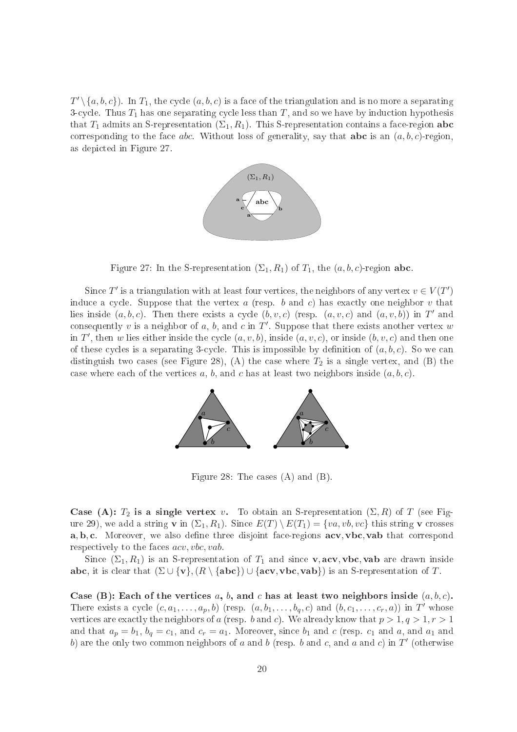$T' \setminus \{a, b, c\}$ ). In  $T_1$ , the cycle  $(a, b, c)$  is a face of the triangulation and is no more a separating 3-cycle. Thus  $T_1$  has one separating cycle less than  $T$ , and so we have by induction hypothesis that  $T_1$  admits an S-representation  $(\Sigma_1, R_1)$ . This S-representation contains a face-region **abc** corresponding to the face *abc*. Without loss of generality, say that **abc** is an  $(a, b, c)$ -region, as depi
ted in Figure 27.



Figure 27: In the S-representation  $(\Sigma_1, R_1)$  of  $T_1$ , the  $(a, b, c)$ -region abc.

Since  $T'$  is a triangulation with at least four vertices, the neighbors of any vertex  $v \in V(T')$ induce a cycle. Suppose that the vertex  $a$  (resp. b and c) has exactly one neighbor v that lies inside  $(a, b, c)$ . Then there exists a cycle  $(b, v, c)$  (resp.  $(a, v, c)$  and  $(a, v, b)$ ) in T' and consequently v is a neighbor of a, b, and c in  $T'$ . Suppose that there exists another vertex w in T', then w lies either inside the cycle  $(a, v, b)$ , inside  $(a, v, c)$ , or inside  $(b, v, c)$  and then one of these cycles is a separating 3-cycle. This is impossible by definition of  $(a, b, c)$ . So we can distinguish two cases (see Figure 28), (A) the case where  $T_2$  is a single vertex, and (B) the case where each of the vertices  $a, b$ , and  $c$  has at least two neighbors inside  $(a, b, c)$ .



Figure 28: The cases  $(A)$  and  $(B)$ .

Case (A):  $T_2$  is a single vertex v. To obtain an S-representation  $(\Sigma, R)$  of T (see Figure 29), we add a string **v** in  $(\Sigma_1, R_1)$ . Since  $E(T) \setminus E(T_1) = \{va, vb, vc\}$  this string **v** crosses a, b, c. Moreover, we also define three disjoint face-regions acv, vbc, vab that correspond respectively to the faces *acv*, *vbc*, *vab*.

Since  $(\Sigma_1, R_1)$  is an S-representation of  $T_1$  and since **v**, acv, vbc, vab are drawn inside abc, it is clear that  $(\Sigma \cup \{v\}, \{R \setminus \{abc\}) \cup \{acv, vbc, vab\})$  is an S-representation of T.

Case (B): Each of the vertices a, b, and c has at least two neighbors inside  $(a, b, c)$ . There exists a cycle  $(c, a_1, \ldots, a_p, b)$  (resp.  $(a, b_1, \ldots, b_q, c)$  and  $(b, c_1, \ldots, c_r, a)$ ) in T' whose vertices are exactly the neighbors of a (resp. b and c). We already know that  $p > 1, q > 1, r > 1$ and that  $a_p = b_1$ ,  $b_q = c_1$ , and  $c_r = a_1$ . Moreover, since  $b_1$  and  $c$  (resp.  $c_1$  and  $a$ , and  $a_1$  and b) are the only two common neighbors of a and b (resp. b and c, and a and c) in T' (otherwise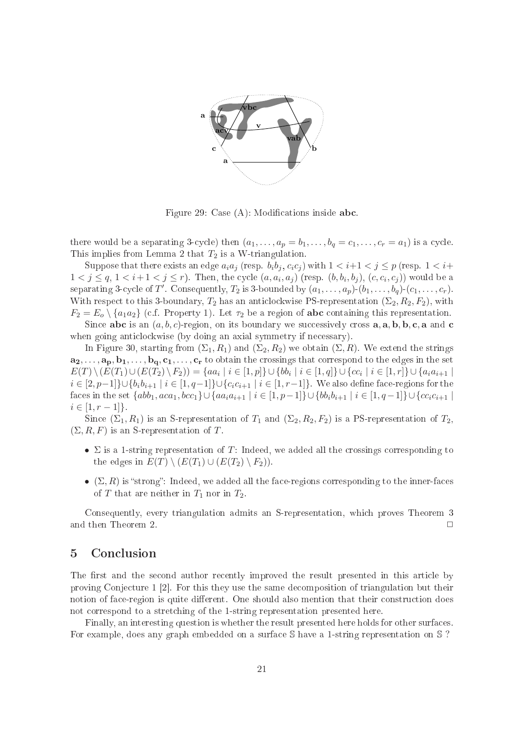

Figure 29: Case  $(A)$ : Modifications inside **abc**.

there would be a separating 3-cycle) then  $(a_1, \ldots, a_p = b_1, \ldots, b_q = c_1, \ldots, c_r = a_1)$  is a cycle. This implies from Lemma 2 that  $T_2$  is a W-triangulation.

Suppose that there exists an edge  $a_i a_j$  (resp.  $b_i b_j, c_i c_j$ ) with  $1 < i+1 < j \leq p$  (resp.  $1 < i+1$ )  $1 < j \le q$ ,  $1 < i+1 < j \le r$ ). Then, the cycle  $(a, a_i, a_j)$  (resp.  $(b, b_i, b_j)$ ,  $(c, c_i, c_j)$ ) would be a separating 3-cycle of T'. Consequently,  $T_2$  is 3-bounded by  $(a_1, \ldots, a_p)$ - $(b_1, \ldots, b_q)$ - $(c_1, \ldots, c_r)$ . With respect to this 3-boundary,  $T_2$  has an anticlockwise PS-representation  $(\Sigma_2, R_2, F_2)$ , with  $F_2 = E_o \setminus \{a_1 a_2\}$  (c.f. Property 1). Let  $\tau_2$  be a region of **abc** containing this representation.

Since abc is an  $(a, b, c)$ -region, on its boundary we successively cross  $a, a, b, b, c, a$  and c when going anticlockwise (by doing an axial symmetry if necessary).

In Figure 30, starting from  $(\Sigma_1, R_1)$  and  $(\Sigma_2, R_2)$  we obtain  $(\Sigma, R)$ . We extend the strings  $a_2, \ldots, a_p, b_1, \ldots, b_q, c_1, \ldots, c_r$  to obtain the crossings that correspond to the edges in the set  $E(T) \setminus (E(T_1) \cup (E(T_2) \setminus F_2)) = \{aa_i \mid i \in [1, p]\} \cup \{bb_i \mid i \in [1, q]\} \cup \{cc_i \mid i \in [1, r]\} \cup \{a_i a_{i+1} \mid c_i \in [1, q]\}$  $i \in [2, p-1] \cup \{b_i b_{i+1} \mid i \in [1, q-1]\} \cup \{c_i c_{i+1} \mid i \in [1, r-1]\}.$  We also define face-regions for the faces in the set  $\{abb_1,aca_1, bcc_1\} \cup \{aa_ia_{i+1} \mid i \in [1,p-1]\} \cup \{bb_i\}_{i+1} \mid i \in [1,q-1]\} \cup \{cc_ic_{i+1} \mid i \in [1,q-1]\}$  $i \in [1, r - 1]$ .

Since  $(\Sigma_1, R_1)$  is an S-representation of  $T_1$  and  $(\Sigma_2, R_2, F_2)$  is a PS-representation of  $T_2$ ,  $(\Sigma, R, F)$  is an S-representation of T.

- $\Sigma$  is a 1-string representation of T: Indeed, we added all the crossings corresponding to the edges in  $E(T) \setminus (E(T_1) \cup (E(T_2) \setminus F_2)).$
- $(\Sigma, R)$  is "strong": Indeed, we added all the face-regions corresponding to the inner-faces of T that are neither in  $T_1$  nor in  $T_2$ .

Consequently, every triangulation admits an S-representation, whi
h proves Theorem 3 and then Theorem 2.  $\Box$ 

### 5**Conclusion**

The first and the second author recently improved the result presented in this article by proving Conjecture  $1\left[2\right]$ . For this they use the same decomposition of triangulation but their notion of face-region is quite different. One should also mention that their construction does not orrespond to a stret
hing of the 1-string representation presented here.

Finally, an interesting question is whether the result presented here holds for other surfa
es. For example, does any graph embedded on <sup>a</sup> surfa
e S have a 1-string representation on S ?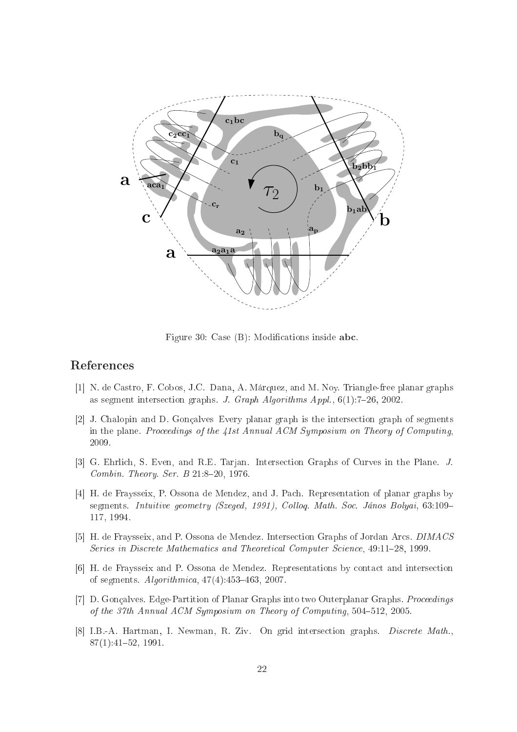

Figure 30: Case  $(B)$ : Modifications inside abc.

- [1] N. de Castro, F. Cobos, J.C. Dana, A. Márquez, and M. Noy. Triangle-free planar graphs as segment intersection graphs. J. Graph Algorithms Appl.,  $6(1)$ : 7-26, 2002.
- [2] J. Chalopin and D. Gonçalves Every planar graph is the intersection graph of segments in the plane. Proceedings of the 41st Annual ACM Symposium on Theory of Computing, 2009.
- [3] G. Ehrlich, S. Even, and R.E. Tarjan. Intersection Graphs of Curves in the Plane. J. Combin. Theory. Ser. B  $21:8-20$ , 1976.
- [4] H. de Fraysseix, P. Ossona de Mendez, and J. Pach. Representation of planar graphs by segments. Intuitive geometry (Szeged, 1991), Colloq. Math. Soc. János Bolyai, 63:109-117, 1994.
- [5] H. de Fraysseix, and P. Ossona de Mendez. Intersection Graphs of Jordan Arcs. DIMACS Series in Discrete Mathematics and Theoretical Computer Science, 49:11-28, 1999.
- [6] H. de Fraysseix and P. Ossona de Mendez. Representations by contact and intersection of segments.  $Algorithmica, 47(4):453–463, 2007.$
- [7] D. Gonçalves. Edge-Partition of Planar Graphs into two Outerplanar Graphs. Proceedings of the 37th Annual ACM Symposium on Theory of Computing, 504-512, 2005.
- [8] I.B.-A. Hartman, I. Newman, R. Ziv. On grid intersection graphs. Discrete Math., 87(1):4152, 1991.